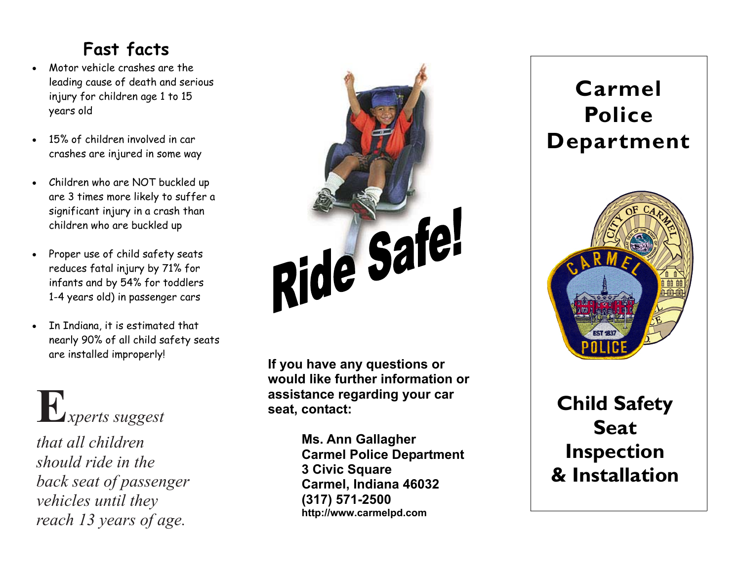## **Fast facts**

- Motor vehicle crashes are the leading cause of death and serious injury for children age 1 to 15 years old
- 15% of children involved in car crashes are injured in some way
- Children who are NOT buckled up are 3 times more likely to suffer a significant injury in a crash than children who are buckled up
- Proper use of child safety seats reduces fatal injury by 71% for infants and by 54% for toddlers 1-4 years old) in passenger cars
- In Indiana, it is estimated that nearly 90% of all child safety seats are installed improperly!

# **E***xperts suggest*

*that all children should ride in the back seat of passenger vehicles until they reach 13 years of age.*



**If you have any questions or would like further information or assistance regarding your car seat, contact:** 

> **Ms. Ann Gallagher Carmel Police Department 3 Civic Square Carmel, Indiana 46032 (317) 571-2500 http://www.carmelpd.com**



**Child Safety Seat Inspection & Installation**